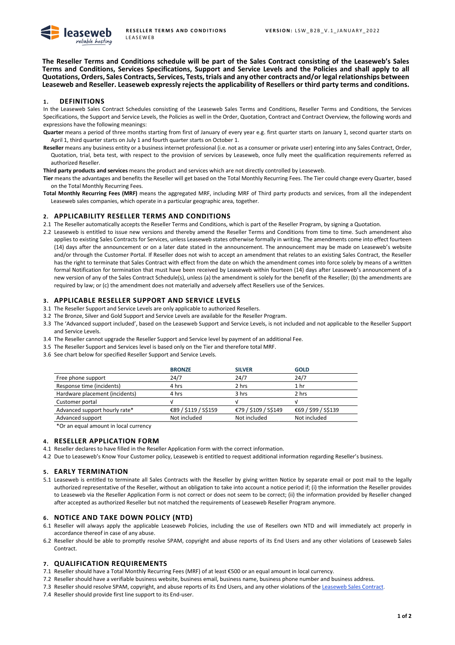

**The Reseller Terms and Conditions schedule will be part of the Sales Contract consisting of the Leaseweb's Sales Terms and Conditions, Services Specifications, Support and Service Levels and the Policies and shall apply to all Quotations, Orders, Sales Contracts, Services, Tests, trials and any other contracts and/or legal relationships between Leaseweb and Reseller. Leaseweb expressly rejects the applicability of Resellers or third party terms and conditions.** 

## **1. DEFINITIONS**

In the Leaseweb Sales Contract Schedules consisting of the Leaseweb Sales Terms and Conditions, Reseller Terms and Conditions, the Services Specifications, the Support and Service Levels, the Policies as well in the Order, Quotation, Contract and Contract Overview, the following words and expressions have the following meanings:

**Quarter** means a period of three months starting from first of January of every year e.g. first quarter starts on January 1, second quarter starts on April 1, third quarter starts on July 1 and fourth quarter starts on October 1.

**Reseller** means any business entity or a business internet professional (i.e. not as a consumer or private user) entering into any Sales Contract, Order, Quotation, trial, beta test, with respect to the provision of services by Leaseweb, once fully meet the qualification requirements referred as authorized Reseller.

**Third party products and services** means the product and services which are not directly controlled by Leaseweb.

- **Tier** means the advantages and benefits the Reseller will get based on the Total Monthly Recurring Fees. The Tier could change every Quarter, based on the Total Monthly Recurring Fees.
- **Total Monthly Recurring Fees (MRF)** means the aggregated MRF, including MRF of Third party products and services, from all the independent Leaseweb sales companies, which operate in a particular geographic area, together.

#### **2. APPLICABILITY RESELLER TERMS AND CONDITIONS**

- 2.1 The Reseller automatically accepts the Reseller Terms and Conditions, which is part of the Reseller Program, by signing a Quotation.
- 2.2 Leaseweb is entitled to issue new versions and thereby amend the Reseller Terms and Conditions from time to time. Such amendment also applies to existing Sales Contracts for Services, unless Leaseweb states otherwise formally in writing. The amendments come into effect fourteen (14) days after the announcement or on a later date stated in the announcement. The announcement may be made on Leaseweb's website and/or through the Customer Portal. If Reseller does not wish to accept an amendment that relates to an existing Sales Contract, the Reseller has the right to terminate that Sales Contract with effect from the date on which the amendment comes into force solely by means of a written formal Notification for termination that must have been received by Leaseweb within fourteen (14) days after Leaseweb's announcement of a new version of any of the Sales Contract Schedule(s), unless (a) the amendment is solely for the benefit of the Reseller; (b) the amendments are required by law; or (c) the amendment does not materially and adversely affect Resellers use of the Services.

#### **3. APPLICABLE RESELLER SUPPORT AND SERVICE LEVELS**

- 3.1 The Reseller Support and Service Levels are only applicable to authorized Resellers.
- 3.2 The Bronze, Silver and Gold Support and Service Levels are available for the Reseller Program.
- 3.3 The 'Advanced support included', based on the Leaseweb Support and Service Levels, is not included and not applicable to the Reseller Support and Service Levels.
- 3.4 The Reseller cannot upgrade the Reseller Support and Service level by payment of an additional Fee.
- 3.5 The Reseller Support and Services level is based only on the Tier and therefore total MRF.
- 3.6 See chart below for specified Reseller Support and Service Levels.

|                                | <b>BRONZE</b>        | <b>SILVER</b>        | <b>GOLD</b>          |
|--------------------------------|----------------------|----------------------|----------------------|
| Free phone support             | 24/7                 | 24/7                 | 24/7                 |
| Response time (incidents)      | 4 hrs                | 2 hrs                | 1 <sub>hr</sub>      |
| Hardware placement (incidents) | 4 hrs                | 3 hrs                | 2 hrs                |
| Customer portal                |                      |                      |                      |
| Advanced support hourly rate*  | €89 / \$119 / S\$159 | €79 / \$109 / S\$149 | €69 / \$99 / \$\$139 |
| Advanced support               | Not included         | Not included         | Not included         |
|                                |                      |                      |                      |

\*Or an equal amount in local currency

# **4. RESELLER APPLICATION FORM**

- 4.1 Reseller declares to have filled in the Reseller Application Form with the correct information.
- 4.2 Due to Leaseweb's Know Your Customer policy, Leaseweb is entitled to request additional information regarding Reseller's business.

#### **5. EARLY TERMINATION**

5.1 Leaseweb is entitled to terminate all Sales Contracts with the Reseller by giving written Notice by separate email or post mail to the legally authorized representative of the Reseller, without an obligation to take into account a notice period if; (i) the information the Reseller provides to Leaseweb via the Reseller Application Form is not correct or does not seem to be correct; (ii) the information provided by Reseller changed after accepted as authorized Reseller but not matched the requirements of Leaseweb Reseller Program anymore.

## **6. NOTICE AND TAKE DOWN POLICY (NTD)**

- 6.1 Reseller will always apply the applicable Leaseweb Policies, including the use of Resellers own NTD and will immediately act properly in accordance thereof in case of any abuse.
- 6.2 Reseller should be able to promptly resolve SPAM, copyright and abuse reports of its End Users and any other violations of Leaseweb Sales Contract.

#### **7. QUALIFICATION REQUIREMENTS**

- 7.1 Reseller should have a Total Monthly Recurring Fees (MRF) of at least €500 or an equal amount in local currency.
- 7.2 Reseller should have a verifiable business website, business email, business name, business phone number and business address.
- 7.3 Reseller should resolve SPAM, copyright, and abuse reports of its End Users, and any other violations of the [Leaseweb Sales Contract.](https://www.leaseweb.com/legal/sales-contract)
- 7.4 Reseller should provide first line support to its End-user.